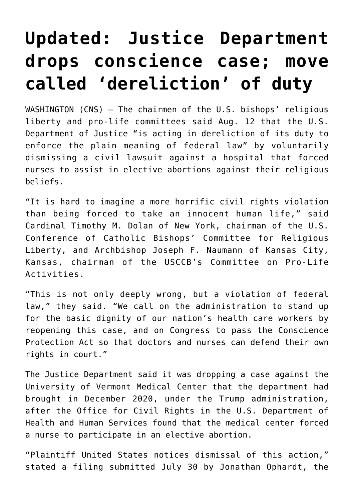## **[Updated: Justice Department](https://www.osvnews.com/amp/2021/08/13/justice-department-drops-conscience-case-move-called-dereliction-of-duty/) [drops conscience case; move](https://www.osvnews.com/amp/2021/08/13/justice-department-drops-conscience-case-move-called-dereliction-of-duty/) [called 'dereliction' of duty](https://www.osvnews.com/amp/2021/08/13/justice-department-drops-conscience-case-move-called-dereliction-of-duty/)**

WASHINGTON (CNS) — The chairmen of the U.S. bishops' religious liberty and pro-life committees said Aug. 12 that the U.S. Department of Justice "is acting in dereliction of its duty to enforce the plain meaning of federal law" by voluntarily dismissing a civil lawsuit against a hospital that forced nurses to assist in elective abortions against their religious beliefs.

"It is hard to imagine a more horrific civil rights violation than being forced to take an innocent human life," said Cardinal Timothy M. Dolan of New York, chairman of the U.S. Conference of Catholic Bishops' Committee for Religious Liberty, and Archbishop Joseph F. Naumann of Kansas City, Kansas, chairman of the USCCB's Committee on Pro-Life Activities.

"This is not only deeply wrong, but a violation of federal law," they said. "We call on the administration to stand up for the basic dignity of our nation's health care workers by reopening this case, and on Congress to pass the Conscience Protection Act so that doctors and nurses can defend their own rights in court."

The Justice Department said it was dropping a case against the University of Vermont Medical Center that the department had brought in December 2020, under the Trump administration, after the Office for Civil Rights in the U.S. Department of Health and Human Services found that the medical center forced a nurse to participate in an elective abortion.

"Plaintiff United States notices dismissal of this action," stated a filing submitted July 30 by Jonathan Ophardt, the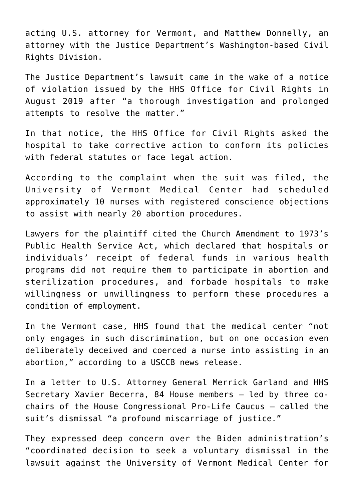acting U.S. attorney for Vermont, and Matthew Donnelly, an attorney with the Justice Department's Washington-based Civil Rights Division.

The Justice Department's lawsuit came in the wake of a notice of violation issued by the HHS Office for Civil Rights in August 2019 after "a thorough investigation and prolonged attempts to resolve the matter."

In that notice, the HHS Office for Civil Rights asked the hospital to take corrective action to conform its policies with federal statutes or face legal action.

According to the complaint when the suit was filed, the University of Vermont Medical Center had scheduled approximately 10 nurses with registered conscience objections to assist with nearly 20 abortion procedures.

Lawyers for the plaintiff cited the Church Amendment to 1973's Public Health Service Act, which declared that hospitals or individuals' receipt of federal funds in various health programs did not require them to participate in abortion and sterilization procedures, and forbade hospitals to make willingness or unwillingness to perform these procedures a condition of employment.

In the Vermont case, HHS found that the medical center "not only engages in such discrimination, but on one occasion even deliberately deceived and coerced a nurse into assisting in an abortion," according to a USCCB news release.

In a letter to U.S. Attorney General Merrick Garland and HHS Secretary Xavier Becerra, 84 House members — led by three cochairs of the House Congressional Pro-Life Caucus — called the suit's dismissal "a profound miscarriage of justice."

They expressed deep concern over the Biden administration's "coordinated decision to seek a voluntary dismissal in the lawsuit against the University of Vermont Medical Center for